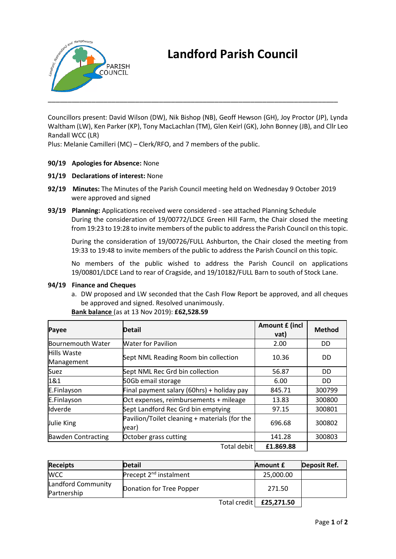

# **Landford Parish Council**

Councillors present: David Wilson (DW), Nik Bishop (NB), Geoff Hewson (GH), Joy Proctor (JP), Lynda Waltham (LW), Ken Parker (KP), Tony MacLachlan (TM), Glen Keirl (GK), John Bonney (JB), and Cllr Leo Randall WCC (LR)

Plus: Melanie Camilleri (MC) – Clerk/RFO, and 7 members of the public.

**90/19 Apologies for Absence:** None

### **91/19 Declarations of interest:** None

- **92/19 Minutes:** The Minutes of the Parish Council meeting held on Wednesday 9 October 2019 were approved and signed
- **93/19 Planning:** Applications received were considered see attached Planning Schedule During the consideration of 19/00772/LDCE Green Hill Farm, the Chair closed the meeting from 19:23 to 19:28 to invite members of the public to address the Parish Council on this topic.

During the consideration of 19/00726/FULL Ashburton, the Chair closed the meeting from 19:33 to 19:48 to invite members of the public to address the Parish Council on this topic.

No members of the public wished to address the Parish Council on applications 19/00801/LDCE Land to rear of Cragside, and 19/10182/FULL Barn to south of Stock Lane.

#### **94/19 Finance and Cheques**

a. DW proposed and LW seconded that the Cash Flow Report be approved, and all cheques be approved and signed. Resolved unanimously.

| Payee                     | <b>Detail</b>                                          | Amount £ (incl<br>vat) | <b>Method</b> |
|---------------------------|--------------------------------------------------------|------------------------|---------------|
| Bournemouth Water         | <b>Water for Pavilion</b>                              | 2.00                   | DD            |
| Hills Waste               |                                                        | 10.36                  | DD            |
| Management                | Sept NML Reading Room bin collection                   |                        |               |
| Suez                      | Sept NML Rec Grd bin collection                        | 56.87                  | DD            |
| 1&1                       | 50Gb email storage                                     | 6.00                   | DD            |
| E.Finlayson               | Final payment salary (60hrs) + holiday pay             | 845.71                 | 300799        |
| E.Finlayson               | Oct expenses, reimbursements + mileage                 | 13.83                  | 300800        |
| <b>Idverde</b>            | Sept Landford Rec Grd bin emptying                     | 97.15                  | 300801        |
| Julie King                | Pavilion/Toilet cleaning + materials (for the<br>vear) | 696.68                 | 300802        |
| <b>Bawden Contracting</b> | October grass cutting                                  | 141.28                 | 300803        |
|                           | Total debit                                            | £1.869.88              |               |

## **Bank balance** (as at 13 Nov 2019): **£62,528.59**

| <b>Receipts</b>                   | <b>Detail</b>                      | Amount £                  | Deposit Ref. |
|-----------------------------------|------------------------------------|---------------------------|--------------|
| <b>WCC</b>                        | Precept 2 <sup>nd</sup> instalment | 25,000.00                 |              |
| Landford Community<br>Partnership | Donation for Tree Popper           | 271.50                    |              |
|                                   |                                    | Total credit   £25,271.50 |              |